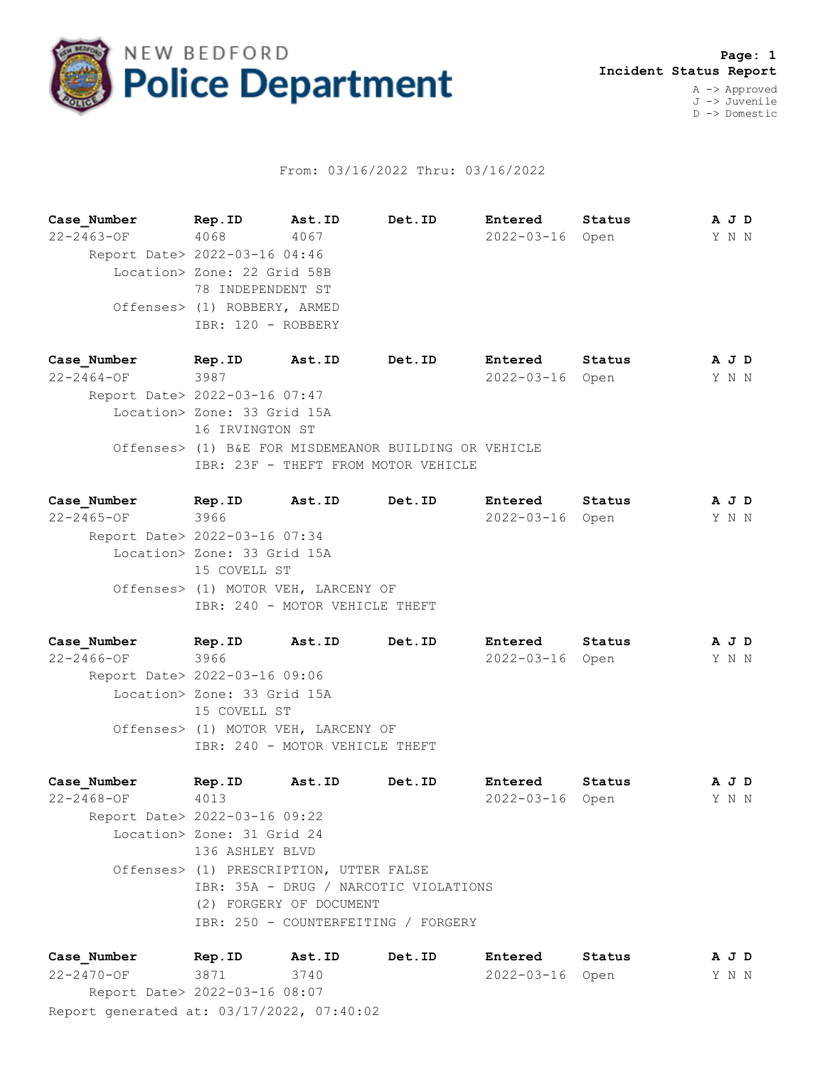

## From: 03/16/2022 Thru: 03/16/2022

| Case Number      | Rep.ID                        | Ast.ID | Det.ID | Entered         | Status |  |       | A J D |
|------------------|-------------------------------|--------|--------|-----------------|--------|--|-------|-------|
| $22 - 2463 - OF$ | 4068                          | 4067   |        | 2022-03-16 Open |        |  | Y N N |       |
|                  | Report Date> 2022-03-16 04:46 |        |        |                 |        |  |       |       |
|                  | Location> Zone: 22 Grid 58B   |        |        |                 |        |  |       |       |
|                  | 78 INDEPENDENT ST             |        |        |                 |        |  |       |       |
|                  | Offenses> (1) ROBBERY, ARMED  |        |        |                 |        |  |       |       |
|                  | IBR: 120 - ROBBERY            |        |        |                 |        |  |       |       |

**Case\_Number Rep.ID Ast.ID Det.ID Entered Status A J D** 22-2464-OF 3987 2022-03-16 Open Y N N Report Date> 2022-03-16 07:47 Location> Zone: 33 Grid 15A 16 IRVINGTON ST Offenses> (1) B&E FOR MISDEMEANOR BUILDING OR VEHICLE IBR: 23F - THEFT FROM MOTOR VEHICLE

**Case\_Number Rep.ID Ast.ID Det.ID Entered Status A J D** 22-2465-OF 3966 2022-03-16 Open Y N N Report Date> 2022-03-16 07:34 Location> Zone: 33 Grid 15A 15 COVELL ST Offenses> (1) MOTOR VEH, LARCENY OF IBR: 240 - MOTOR VEHICLE THEFT

**Case\_Number Rep.ID Ast.ID Det.ID Entered Status A J D** 22-2466-OF 3966 2022-03-16 Open Y N N Report Date> 2022-03-16 09:06 Location> Zone: 33 Grid 15A 15 COVELL ST Offenses> (1) MOTOR VEH, LARCENY OF IBR: 240 - MOTOR VEHICLE THEFT

**Case\_Number Rep.ID Ast.ID Det.ID Entered Status A J D** 22-2468-OF 4013 2022-03-16 Open Y N N Report Date> 2022-03-16 09:22 Location> Zone: 31 Grid 24 136 ASHLEY BLVD Offenses> (1) PRESCRIPTION, UTTER FALSE IBR: 35A - DRUG / NARCOTIC VIOLATIONS (2) FORGERY OF DOCUMENT IBR: 250 - COUNTERFEITING / FORGERY

Report generated at: 03/17/2022, 07:40:02 **Case\_Number Rep.ID Ast.ID Det.ID Entered Status A J D** 22-2470-OF 3871 3740 2022-03-16 Open Y N N Report Date> 2022-03-16 08:07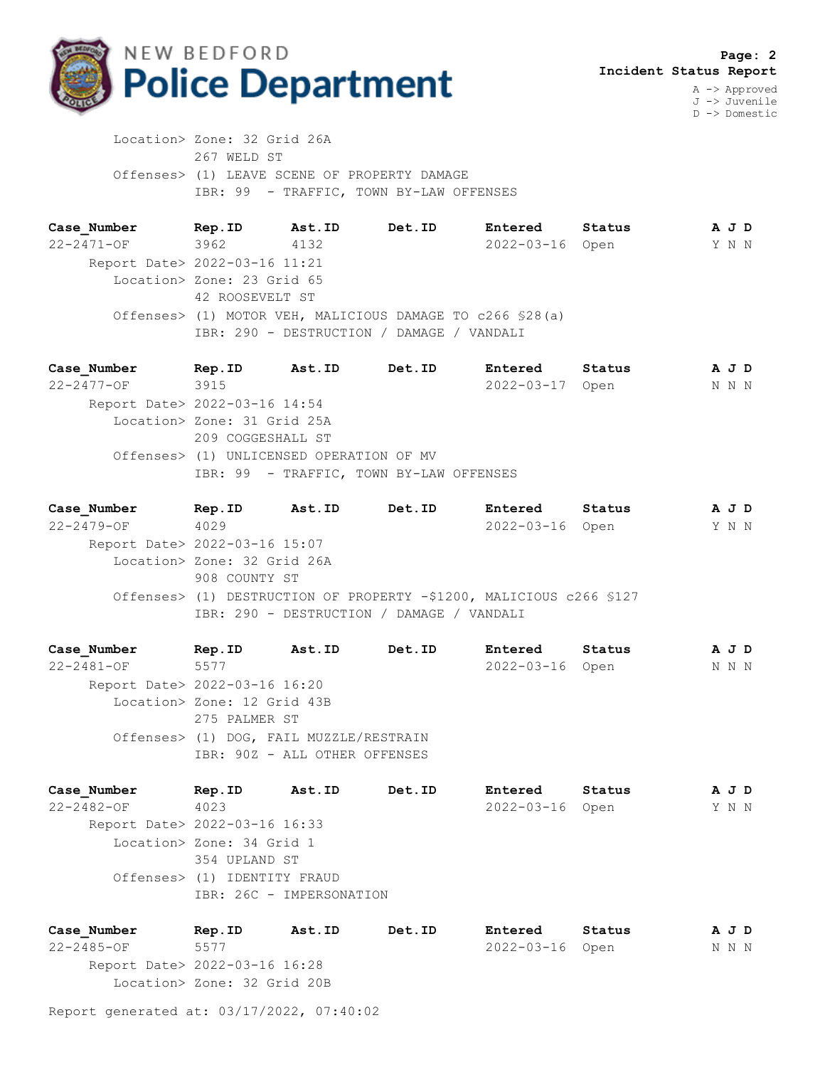

D -> Domestic

 Location> Zone: 32 Grid 26A 267 WELD ST Offenses> (1) LEAVE SCENE OF PROPERTY DAMAGE IBR: 99 - TRAFFIC, TOWN BY-LAW OFFENSES

**Case\_Number Rep.ID Ast.ID Det.ID Entered Status A J D** 22-2471-OF 3962 4132 2022-03-16 Open Y N N Report Date> 2022-03-16 11:21 Location> Zone: 23 Grid 65 42 ROOSEVELT ST Offenses> (1) MOTOR VEH, MALICIOUS DAMAGE TO c266 §28(a) IBR: 290 - DESTRUCTION / DAMAGE / VANDALI

**Case\_Number Rep.ID Ast.ID Det.ID Entered Status A J D** 22-2477-OF 3915 2022-03-17 Open N N N Report Date> 2022-03-16 14:54 Location> Zone: 31 Grid 25A 209 COGGESHALL ST Offenses> (1) UNLICENSED OPERATION OF MV IBR: 99 - TRAFFIC, TOWN BY-LAW OFFENSES

**Case\_Number Rep.ID Ast.ID Det.ID Entered Status A J D** 22-2479-OF 4029 2022-03-16 Open Y N N Report Date> 2022-03-16 15:07 Location> Zone: 32 Grid 26A 908 COUNTY ST Offenses> (1) DESTRUCTION OF PROPERTY -\$1200, MALICIOUS c266 §127 IBR: 290 - DESTRUCTION / DAMAGE / VANDALI

**Case\_Number Rep.ID Ast.ID Det.ID Entered Status A J D** 22-2481-OF 5577 2022-03-16 Open N N N Report Date> 2022-03-16 16:20 Location> Zone: 12 Grid 43B 275 PALMER ST Offenses> (1) DOG, FAIL MUZZLE/RESTRAIN IBR: 90Z - ALL OTHER OFFENSES

**Case\_Number Rep.ID Ast.ID Det.ID Entered Status A J D** 22-2482-OF 4023 2022-03-16 Open Y N N Report Date> 2022-03-16 16:33 Location> Zone: 34 Grid 1 354 UPLAND ST Offenses> (1) IDENTITY FRAUD IBR: 26C - IMPERSONATION

**Case\_Number Rep.ID Ast.ID Det.ID Entered Status A J D** 22-2485-OF 5577 2022-03-16 Open N N N Report Date> 2022-03-16 16:28 Location> Zone: 32 Grid 20B

Report generated at: 03/17/2022, 07:40:02